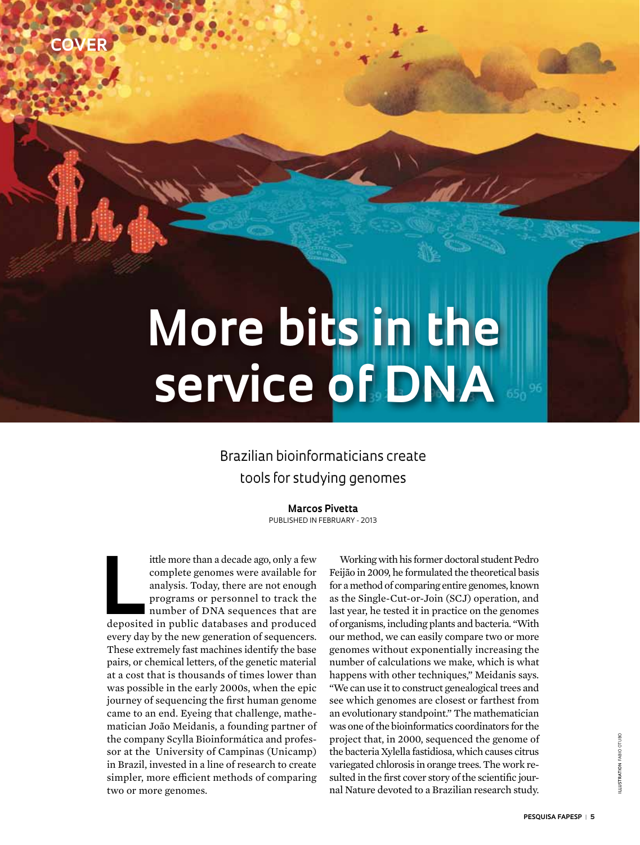# **More bits in the service of DNA**

### Brazilian bioinformaticians create tools for studying genomes

**Marcos Pivetta** Published in February - 2013

ittle more than a decade ago, only a few<br>
complete genomes were available for<br>
analysis. Today, there are not enough<br>
programs or personnel to track the<br>
number of DNA sequences that are<br>
deposited in public databases and ittle more than a decade ago, only a few complete genomes were available for analysis. Today, there are not enough programs or personnel to track the number of DNA sequences that are every day by the new generation of sequencers. These extremely fast machines identify the base pairs, or chemical letters, of the genetic material at a cost that is thousands of times lower than was possible in the early 2000s, when the epic journey of sequencing the first human genome came to an end. Eyeing that challenge, mathematician João Meidanis, a founding partner of the company Scylla Bioinformática and professor at the University of Campinas (Unicamp) in Brazil, invested in a line of research to create simpler, more efficient methods of comparing two or more genomes.

**Cover** 

Working with his former doctoral student Pedro Feijão in 2009, he formulated the theoretical basis for a method of comparing entire genomes, known as the Single-Cut-or-Join (SCJ) operation, and last year, he tested it in practice on the genomes of organisms, including plants and bacteria. "With our method, we can easily compare two or more genomes without exponentially increasing the number of calculations we make, which is what happens with other techniques," Meidanis says. "We can use it to construct genealogical trees and see which genomes are closest or farthest from an evolutionary standpoint." The mathematician was one of the bioinformatics coordinators for the project that, in 2000, sequenced the genome of the bacteria Xylella fastidiosa, which causes citrus variegated chlorosis in orange trees. The work resulted in the first cover story of the scientific journal Nature devoted to a Brazilian research study.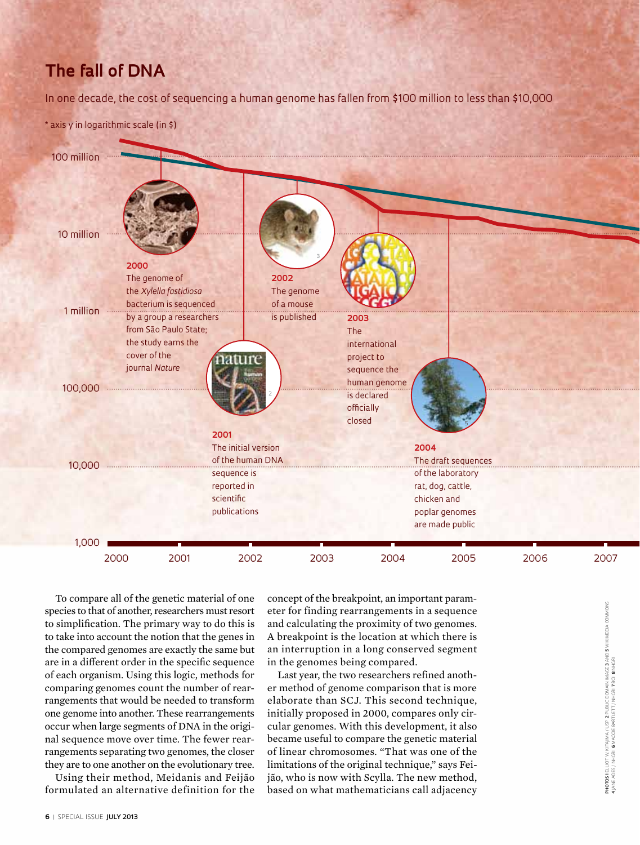## **The fall of DNA**

In one decade, the cost of sequencing a human genome has fallen from \$100 million to less than \$10,000

\* axis y in logarithmic scale (in \$)



To compare all of the genetic material of one species to that of another, researchers must resort to simplification. The primary way to do this is to take into account the notion that the genes in the compared genomes are exactly the same but are in a different order in the specific sequence of each organism. Using this logic, methods for comparing genomes count the number of rearrangements that would be needed to transform one genome into another. These rearrangements occur when large segments of DNA in the original sequence move over time. The fewer rearrangements separating two genomes, the closer they are to one another on the evolutionary tree.

Using their method, Meidanis and Feijão formulated an alternative definition for the concept of the breakpoint, an important parameter for finding rearrangements in a sequence and calculating the proximity of two genomes. A breakpoint is the location at which there is an interruption in a long conserved segment in the genomes being compared.

Last year, the two researchers refined another method of genome comparison that is more elaborate than SCJ. This second technique, initially proposed in 2000, compares only circular genomes. With this development, it also became useful to compare the genetic material of linear chromosomes. "That was one of the limitations of the original technique," says Feijão, who is now with Scylla. The new method, based on what mathematicians call adjacency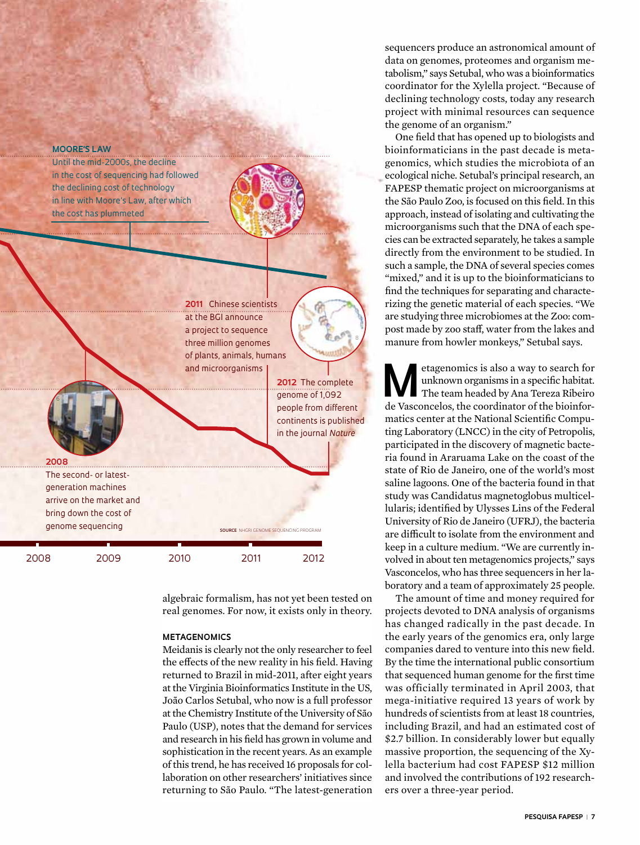#### **Moore's Law**

Until the mid-2000s, the decline in the cost of sequencing had followed the declining cost of technology in line with Moore's Law, after which the cost has plummeted

> **2011** Chinese scientists at the BGI announce a project to sequence three million genomes of plants, animals, humans and microorganisms

7

**2012** The complete genome of 1,092 people from different continents is published in the journal *Nature*

8

**2008** The second- or latestgeneration machines arrive on the market and bring down the cost of genome sequencing

2008 2009 2010 2011 2012

6

algebraic formalism, has not yet been tested on real genomes. For now, it exists only in theory.

**SOURCE** NHGRI GENOME SEQUENCING PROGRAM

#### **Metagenomics**

Meidanis is clearly not the only researcher to feel the effects of the new reality in his field. Having returned to Brazil in mid-2011, after eight years at the Virginia Bioinformatics Institute in the US, João Carlos Setubal, who now is a full professor at the Chemistry Institute of the University of São Paulo (USP), notes that the demand for services and research in his field has grown in volume and sophistication in the recent years. As an example of this trend, he has received 16 proposals for collaboration on other researchers' initiatives since returning to São Paulo. "The latest-generation sequencers produce an astronomical amount of data on genomes, proteomes and organism metabolism," says Setubal, who was a bioinformatics coordinator for the Xylella project. "Because of declining technology costs, today any research project with minimal resources can sequence the genome of an organism."

One field that has opened up to biologists and bioinformaticians in the past decade is metagenomics, which studies the microbiota of an ecological niche. Setubal's principal research, an FAPESP thematic project on microorganisms at the São Paulo Zoo, is focused on this field. In this approach, instead of isolating and cultivating the microorganisms such that the DNA of each species can be extracted separately, he takes a sample directly from the environment to be studied. In such a sample, the DNA of several species comes "mixed," and it is up to the bioinformaticians to find the techniques for separating and characterizing the genetic material of each species. "We are studying three microbiomes at the Zoo: compost made by zoo staff, water from the lakes and manure from howler monkeys," Setubal says.

Metagenomics is also a way to search for unknown organisms in a specific habitat.<br>The team headed by Ana Tereza Ribeiro unknown organisms in a specific habitat. de Vasconcelos, the coordinator of the bioinformatics center at the National Scientific Computing Laboratory (LNCC) in the city of Petropolis, participated in the discovery of magnetic bacteria found in Araruama Lake on the coast of the state of Rio de Janeiro, one of the world's most saline lagoons. One of the bacteria found in that study was Candidatus magnetoglobus multicellularis; identified by Ulysses Lins of the Federal University of Rio de Janeiro (UFRJ), the bacteria are difficult to isolate from the environment and keep in a culture medium. "We are currently involved in about ten metagenomics projects," says Vasconcelos, who has three sequencers in her laboratory and a team of approximately 25 people.

The amount of time and money required for projects devoted to DNA analysis of organisms has changed radically in the past decade. In the early years of the genomics era, only large companies dared to venture into this new field. By the time the international public consortium that sequenced human genome for the first time was officially terminated in April 2003, that mega-initiative required 13 years of work by hundreds of scientists from at least 18 countries, including Brazil, and had an estimated cost of \$2.7 billion. In considerably lower but equally massive proportion, the sequencing of the Xylella bacterium had cost FAPESP \$12 million and involved the contributions of 192 researchers over a three-year period.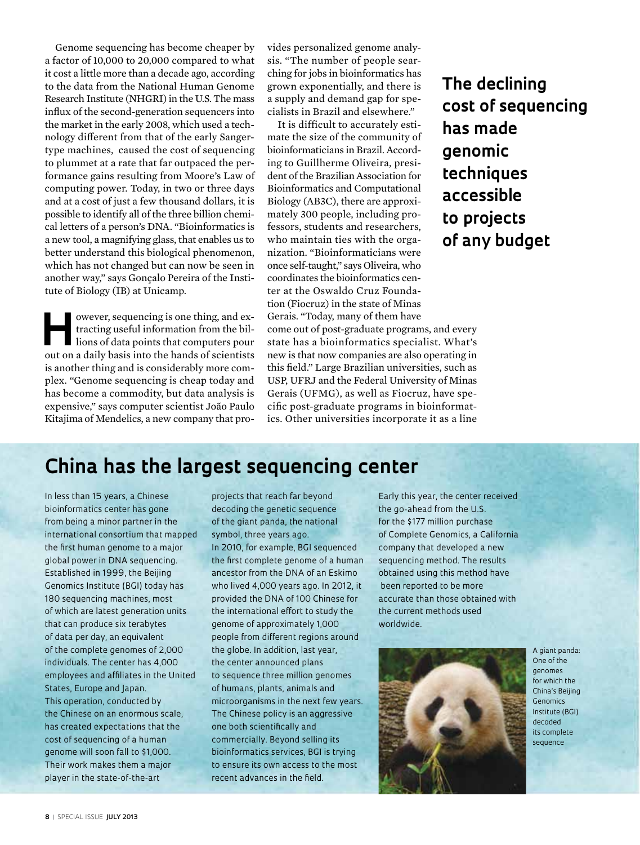Genome sequencing has become cheaper by a factor of 10,000 to 20,000 compared to what it cost a little more than a decade ago, according to the data from the National Human Genome Research Institute (NHGRI) in the U.S. The mass influx of the second-generation sequencers into the market in the early 2008, which used a technology different from that of the early Sangertype machines, caused the cost of sequencing to plummet at a rate that far outpaced the performance gains resulting from Moore's Law of computing power. Today, in two or three days and at a cost of just a few thousand dollars, it is possible to identify all of the three billion chemical letters of a person's DNA. "Bioinformatics is a new tool, a magnifying glass, that enables us to better understand this biological phenomenon, which has not changed but can now be seen in another way," says Gonçalo Pereira of the Institute of Biology (IB) at Unicamp.

owever, sequencing is one thing, and ex-<br>tracting useful information from the bil-<br>lions of data points that computers pour tracting useful information from the billions of data points that computers pour out on a daily basis into the hands of scientists is another thing and is considerably more complex. "Genome sequencing is cheap today and has become a commodity, but data analysis is expensive," says computer scientist João Paulo Kitajima of Mendelics, a new company that provides personalized genome analysis. "The number of people searching for jobs in bioinformatics has grown exponentially, and there is a supply and demand gap for specialists in Brazil and elsewhere."

It is difficult to accurately estimate the size of the community of bioinformaticians in Brazil. According to Guillherme Oliveira, president of the Brazilian Association for Bioinformatics and Computational Biology (AB3C), there are approximately 300 people, including professors, students and researchers, who maintain ties with the organization. "Bioinformaticians were once self-taught," says Oliveira, who coordinates the bioinformatics center at the Oswaldo Cruz Foundation (Fiocruz) in the state of Minas Gerais. "Today, many of them have

come out of post-graduate programs, and every state has a bioinformatics specialist. What's new is that now companies are also operating in this field." Large Brazilian universities, such as USP, UFRJ and the Federal University of Minas Gerais (UFMG), as well as Fiocruz, have specific post-graduate programs in bioinformatics. Other universities incorporate it as a line

**The declining cost of sequencing has made genomic techniques accessible to projects of any budget**

## **China has the largest sequencing center**

In less than 15 years, a Chinese bioinformatics center has gone from being a minor partner in the international consortium that mapped the first human genome to a major global power in DNA sequencing. Established in 1999, the Beijing Genomics Institute (BGI) today has 180 sequencing machines, most of which are latest generation units that can produce six terabytes of data per day, an equivalent of the complete genomes of 2,000 individuals. The center has 4,000 employees and affiliates in the United States, Europe and Japan. This operation, conducted by the Chinese on an enormous scale, has created expectations that the cost of sequencing of a human genome will soon fall to \$1,000. Their work makes them a major player in the state-of-the-art

projects that reach far beyond decoding the genetic sequence of the giant panda, the national symbol, three years ago. In 2010, for example, BGI sequenced the first complete genome of a human ancestor from the DNA of an Eskimo who lived 4,000 years ago. In 2012, it provided the DNA of 100 Chinese for the international effort to study the genome of approximately 1,000 people from different regions around the globe. In addition, last year, the center announced plans to sequence three million genomes of humans, plants, animals and microorganisms in the next few years. The Chinese policy is an aggressive one both scientifically and commercially. Beyond selling its bioinformatics services, BGI is trying to ensure its own access to the most recent advances in the field.

Early this year, the center received the go-ahead from the U.S. for the \$177 million purchase of Complete Genomics, a California company that developed a new sequencing method. The results obtained using this method have been reported to be more accurate than those obtained with the current methods used worldwide.



A giant panda: One of the genomes for which the China's Beijing **Genomics** Institute (BGI) decoded its complete sequence